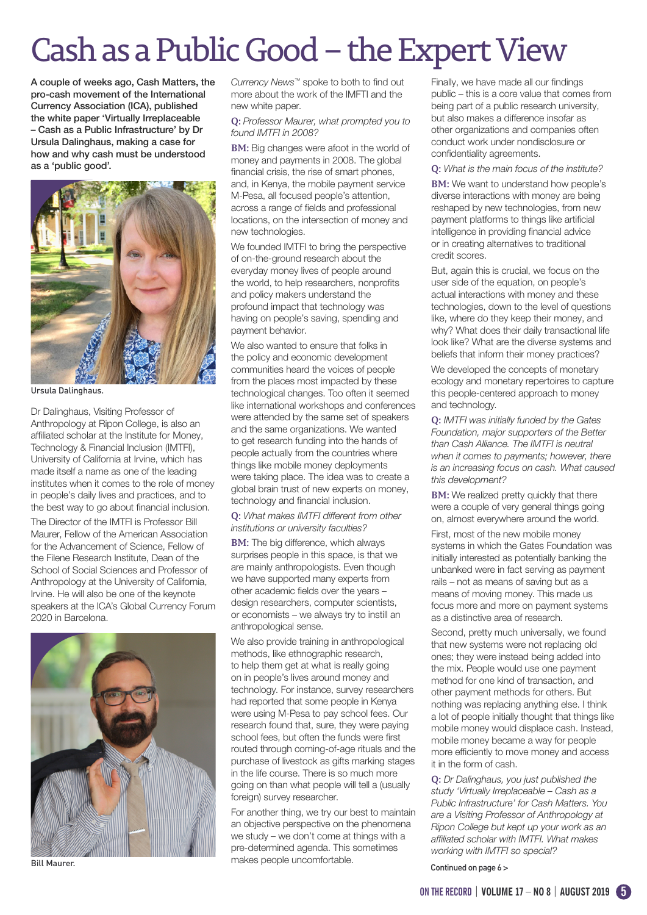## Cash as a Public Good – the Expert View

A couple of weeks ago, Cash Matters, the pro-cash movement of the International Currency Association (ICA), published the white paper 'Virtually Irreplaceable – Cash as a Public Infrastructure' by Dr Ursula Dalinghaus, making a case for how and why cash must be understood as a 'public good'.



Ursula Dalinghaus.

Dr Dalinghaus, Visiting Professor of Anthropology at Ripon College, is also an affiliated scholar at the Institute for Money, Technology & Financial Inclusion (IMTFI), University of California at Irvine, which has made itself a name as one of the leading institutes when it comes to the role of money in people's daily lives and practices, and to the best way to go about financial inclusion. The Director of the IMTFI is Professor Bill Maurer, Fellow of the American Association for the Advancement of Science, Fellow of the Filene Research Institute, Dean of the School of Social Sciences and Professor of Anthropology at the University of California, Irvine. He will also be one of the keynote speakers at the ICA's Global Currency Forum 2020 in Barcelona.



Bill Maurer.

*Currency News™* spoke to both to find out more about the work of the IMFTI and the new white paper.

**Q:** *Professor Maurer, what prompted you to found IMTFI in 2008?*

**BM:** Big changes were afoot in the world of money and payments in 2008. The global financial crisis, the rise of smart phones. and, in Kenya, the mobile payment service M-Pesa, all focused people's attention, across a range of fields and professional locations, on the intersection of money and new technologies.

We founded IMTFI to bring the perspective of on-the-ground research about the everyday money lives of people around the world, to help researchers, nonprofits and policy makers understand the profound impact that technology was having on people's saving, spending and payment behavior.

We also wanted to ensure that folks in the policy and economic development communities heard the voices of people from the places most impacted by these technological changes. Too often it seemed like international workshops and conferences were attended by the same set of speakers and the same organizations. We wanted to get research funding into the hands of people actually from the countries where things like mobile money deployments were taking place. The idea was to create a global brain trust of new experts on money, technology and financial inclusion.

**Q:** *What makes IMTFI different from other institutions or university faculties?*

**BM:** The big difference, which always surprises people in this space, is that we are mainly anthropologists. Even though we have supported many experts from other academic fields over the years – design researchers, computer scientists, or economists – we always try to instill an anthropological sense.

We also provide training in anthropological methods, like ethnographic research, to help them get at what is really going on in people's lives around money and technology. For instance, survey researchers had reported that some people in Kenya were using M-Pesa to pay school fees. Our research found that, sure, they were paying school fees, but often the funds were first routed through coming-of-age rituals and the purchase of livestock as gifts marking stages in the life course. There is so much more going on than what people will tell a (usually foreign) survey researcher.

For another thing, we try our best to maintain an objective perspective on the phenomena we study – we don't come at things with a pre-determined agenda. This sometimes makes people uncomfortable.

Finally, we have made all our findings public – this is a core value that comes from being part of a public research university, but also makes a difference insofar as other organizations and companies often conduct work under nondisclosure or confidentiality agreements.

**Q:** *What is the main focus of the institute?*

**BM:** We want to understand how people's diverse interactions with money are being reshaped by new technologies, from new payment platforms to things like artificial intelligence in providing financial advice or in creating alternatives to traditional credit scores.

But, again this is crucial, we focus on the user side of the equation, on people's actual interactions with money and these technologies, down to the level of questions like, where do they keep their money, and why? What does their daily transactional life look like? What are the diverse systems and beliefs that inform their money practices?

We developed the concepts of monetary ecology and monetary repertoires to capture this people-centered approach to money and technology.

**Q:** *IMTFI was initially funded by the Gates Foundation, major supporters of the Better than Cash Alliance. The IMTFI is neutral when it comes to payments; however, there is an increasing focus on cash. What caused this development?*

**BM:** We realized pretty quickly that there were a couple of very general things going on, almost everywhere around the world.

First, most of the new mobile money systems in which the Gates Foundation was initially interested as potentially banking the unbanked were in fact serving as payment rails – not as means of saving but as a means of moving money. This made us focus more and more on payment systems as a distinctive area of research.

Second, pretty much universally, we found that new systems were not replacing old ones; they were instead being added into the mix. People would use one payment method for one kind of transaction, and other payment methods for others. But nothing was replacing anything else. I think a lot of people initially thought that things like mobile money would displace cash. Instead, mobile money became a way for people more efficiently to move money and access it in the form of cash.

**Q:** *Dr Dalinghaus, you just published the study 'Virtually Irreplaceable – Cash as a Public Infrastructure' for Cash Matters. You are a Visiting Professor of Anthropology at Ripon College but kept up your work as an affiliated scholar with IMTFI. What makes working with IMTFI so special?*

Continued on page 6 >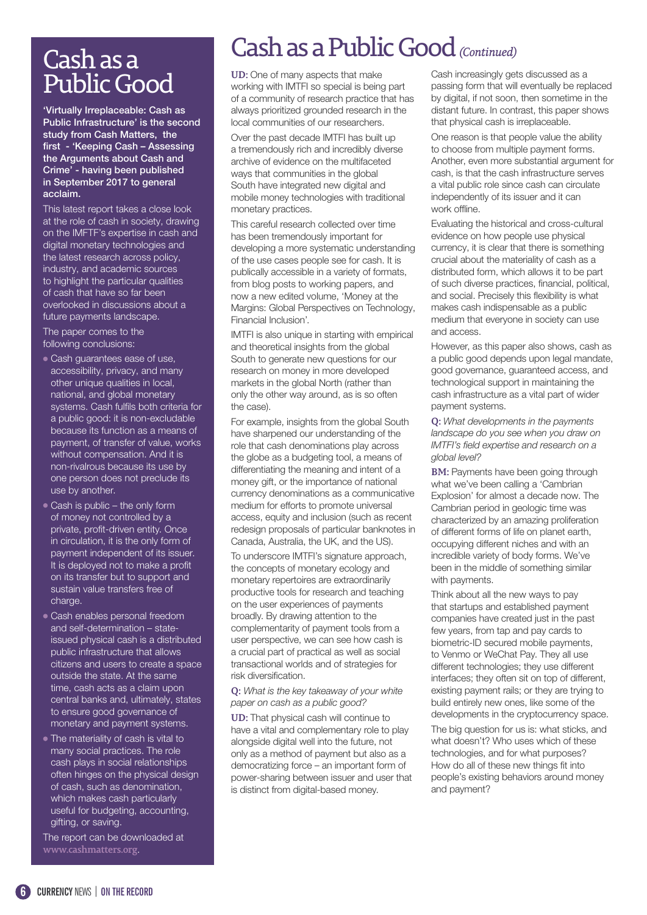## Cash as a Public Good

'Virtually Irreplaceable: Cash as Public Infrastructure' is the second study from Cash Matters, the first - 'Keeping Cash – Assessing the Arguments about Cash and Crime' - having been published in September 2017 to general acclaim.

This latest report takes a close look at the role of cash in society, drawing on the IMFTF's expertise in cash and digital monetary technologies and the latest research across policy, industry, and academic sources to highlight the particular qualities of cash that have so far been overlooked in discussions about a future payments landscape.

The paper comes to the following conclusions:

- Cash guarantees ease of use, accessibility, privacy, and many other unique qualities in local, national, and global monetary systems. Cash fulfils both criteria for a public good: it is non-excludable because its function as a means of payment, of transfer of value, works without compensation. And it is non-rivalrous because its use by one person does not preclude its use by another.
- Cash is public the only form of money not controlled by a private, profit-driven entity. Once in circulation, it is the only form of payment independent of its issuer. It is deployed not to make a profit on its transfer but to support and sustain value transfers free of charge.
- Cash enables personal freedom and self-determination – stateissued physical cash is a distributed public infrastructure that allows citizens and users to create a space outside the state. At the same time, cash acts as a claim upon central banks and, ultimately, states to ensure good governance of monetary and payment systems.
- The materiality of cash is vital to many social practices. The role cash plays in social relationships often hinges on the physical design of cash, such as denomination, which makes cash particularly useful for budgeting, accounting, gifting, or saving.

The report can be downloaded at **www.cashmatters.org**.

## Cash as a Public Good *(Continued)*

**UD:** One of many aspects that make working with IMTFI so special is being part of a community of research practice that has always prioritized grounded research in the local communities of our researchers.

Over the past decade IMTFI has built up a tremendously rich and incredibly diverse archive of evidence on the multifaceted ways that communities in the global South have integrated new digital and mobile money technologies with traditional monetary practices.

This careful research collected over time has been tremendously important for developing a more systematic understanding of the use cases people see for cash. It is publically accessible in a variety of formats, from blog posts to working papers, and now a new edited volume, 'Money at the Margins: Global Perspectives on Technology, Financial Inclusion'.

IMTFI is also unique in starting with empirical and theoretical insights from the global South to generate new questions for our research on money in more developed markets in the global North (rather than only the other way around, as is so often the case).

For example, insights from the global South have sharpened our understanding of the role that cash denominations play across the globe as a budgeting tool, a means of differentiating the meaning and intent of a money gift, or the importance of national currency denominations as a communicative medium for efforts to promote universal access, equity and inclusion (such as recent redesign proposals of particular banknotes in Canada, Australia, the UK, and the US).

To underscore IMTFI's signature approach, the concepts of monetary ecology and monetary repertoires are extraordinarily productive tools for research and teaching on the user experiences of payments broadly. By drawing attention to the complementarity of payment tools from a user perspective, we can see how cash is a crucial part of practical as well as social transactional worlds and of strategies for risk diversification.

**Q:** *What is the key takeaway of your white paper on cash as a public good?*

**UD:** That physical cash will continue to have a vital and complementary role to play alongside digital well into the future, not only as a method of payment but also as a democratizing force – an important form of power-sharing between issuer and user that is distinct from digital-based money.

Cash increasingly gets discussed as a passing form that will eventually be replaced by digital, if not soon, then sometime in the distant future. In contrast, this paper shows that physical cash is irreplaceable.

One reason is that people value the ability to choose from multiple payment forms. Another, even more substantial argument for cash, is that the cash infrastructure serves a vital public role since cash can circulate independently of its issuer and it can work offline.

Evaluating the historical and cross-cultural evidence on how people use physical currency, it is clear that there is something crucial about the materiality of cash as a distributed form, which allows it to be part of such diverse practices, financial, political, and social. Precisely this flexibility is what makes cash indispensable as a public medium that everyone in society can use and access.

However, as this paper also shows, cash as a public good depends upon legal mandate, good governance, guaranteed access, and technological support in maintaining the cash infrastructure as a vital part of wider payment systems.

**Q:** *What developments in the payments landscape do you see when you draw on IMTFI's field expertise and research on a global level?*

**BM:** Payments have been going through what we've been calling a 'Cambrian Explosion' for almost a decade now. The Cambrian period in geologic time was characterized by an amazing proliferation of different forms of life on planet earth, occupying different niches and with an incredible variety of body forms. We've been in the middle of something similar with payments.

Think about all the new ways to pay that startups and established payment companies have created just in the past few years, from tap and pay cards to biometric-ID secured mobile payments, to Venmo or WeChat Pay. They all use different technologies; they use different interfaces; they often sit on top of different, existing payment rails; or they are trying to build entirely new ones, like some of the developments in the cryptocurrency space.

The big question for us is: what sticks, and what doesn't? Who uses which of these technologies, and for what purposes? How do all of these new things fit into people's existing behaviors around money and payment?